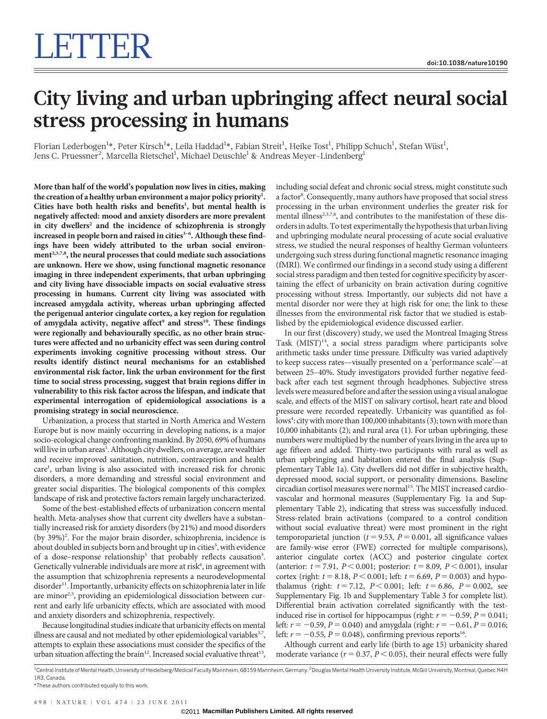## City living and urban upbringing affect neural social stress processing in humans

Florian Lederbogen $^{1*}$ , Peter Kirsch $^{1*}$ , Leila Haddad $^{1*}$ , Fabian Streit $^{1}$ , Heike Tost $^{1}$ , Philipp Schuch $^{1}$ , Stefan Wüst $^{1}$ , Jens C. Pruessner<sup>2</sup>, Marcella Rietschel<sup>1</sup>, Michael Deuschle<sup>1</sup> & Andreas Meyer-Lindenberg<sup>1</sup>

More than half of the world's population now lives in cities, making the creation of a healthy urban environment a major policy priority $^{\rm l}$ . Cities have both health risks and benefits<sup>1</sup>, but mental health is negatively affected: mood and anxiety disorders are more prevalent in city dwellers<sup>2</sup> and the incidence of schizophrenia is strongly increased in people born and raised in cities<sup>3-6</sup>. Although these findings have been widely attributed to the urban social environment<sup>2,3,7,8</sup>, the neural processes that could mediate such associations are unknown. Here we show, using functional magnetic resonance imaging in three independent experiments, that urban upbringing and city living have dissociable impacts on social evaluative stress processing in humans. Current city living was associated with increased amygdala activity, whereas urban upbringing affected the perigenual anterior cingulate cortex, a key region for regulation of amygdala activity, negative affect<sup>9</sup> and stress<sup>10</sup>. These findings were regionally and behaviourally specific, as no other brain structures were affected and no urbanicity effect was seen during control experiments invoking cognitive processing without stress. Our results identify distinct neural mechanisms for an established environmental risk factor, link the urban environment for the first time to social stress processing, suggest that brain regions differ in vulnerability to this risk factor across the lifespan, and indicate that experimental interrogation of epidemiological associations is a promising strategy in social neuroscience.

Urbanization, a process that started in North America and Western Europe but is now mainly occurring in developing nations, is a major socio-ecological change confronting mankind. By 2050, 69% of humans will live in urban areas<sup>1</sup>. Although city dwellers, on average, are wealthier and receive improved sanitation, nutrition, contraception and health care<sup>1</sup>, urban living is also associated with increased risk for chronic disorders, a more demanding and stressful social environment and greater social disparities. The biological components of this complex landscape of risk and protective factors remain largely uncharacterized.

Some of the best-established effects of urbanization concern mental health. Meta-analyses show that current city dwellers have a substantially increased risk for anxiety disorders (by 21%) and mood disorders (by 39%)<sup>2</sup>. For the major brain disorder, schizophrenia, incidence is about doubled in subjects born and brought up in cities<sup>3</sup>, with evidence of a dose-response relationship<sup>5</sup> that probably reflects causation<sup>3</sup>. Genetically vulnerable individuals are more at risk<sup>6</sup>, in agreement with the assumption that schizophrenia represents a neurodevelopmental disorder<sup>11</sup>. Importantly, urbanicity effects on schizophrenia later in life are minor<sup>2,5</sup>, providing an epidemiological dissociation between current and early life urbanicity effects, which are associated with mood and anxiety disorders and schizophrenia, respectively.

Because longitudinal studies indicate that urbanicity effects on mental illness are causal and not mediated by other epidemiological variables<sup>3,7</sup>, attempts to explain these associations must consider the specifics of the urban situation affecting the brain<sup>12</sup>. Increased social evaluative threat<sup>13</sup>, including social defeat and chronic social stress, might constitute such a factor<sup>8</sup>. Consequently, many authors have proposed that social stress processing in the urban environment underlies the greater risk for mental illness<sup>2,3,7,8</sup>, and contributes to the manifestation of these disorders in adults. To test experimentally the hypothesis that urban living and upbringing modulate neural processing of acute social evaluative stress, we studied the neural responses of healthy German volunteers undergoing such stress during functional magnetic resonance imaging (fMRI). We confirmed our findings in a second study using a different social stress paradigm and then tested for cognitive specificity by ascertaining the effect of urbanicity on brain activation during cognitive processing without stress. Importantly, our subjects did not have a mental disorder nor were they at high risk for one; the link to these illnesses from the environmental risk factor that we studied is established by the epidemiological evidence discussed earlier.

In our first (discovery) study, we used the Montreal Imaging Stress Task (MIST)<sup>14</sup>, a social stress paradigm where participants solve arithmetic tasks under time pressure. Difficulty was varied adaptively to keep success rates—visually presented on a 'performance scale'—at between 25–40%. Study investigators provided further negative feedback after each test segment through headphones. Subjective stress levels were measured before and after the session using a visual analogue scale, and effects of the MIST on salivary cortisol, heart rate and blood pressure were recorded repeatedly. Urbanicity was quantified as follows<sup>4</sup>: city with more than 100,000 inhabitants (3); town with more than 10,000 inhabitants (2); and rural area (1). For urban upbringing, these numbers were multiplied by the number of years living in the area up to age fifteen and added. Thirty-two participants with rural as well as urban upbringing and habitation entered the final analysis (Supplementary Table 1a). City dwellers did not differ in subjective health, depressed mood, social support, or personality dimensions. Baseline circadian cortisol measures were normal<sup>15</sup>. The MIST increased cardiovascular and hormonal measures (Supplementary Fig. 1a and Supplementary Table 2), indicating that stress was successfully induced. Stress-related brain activations (compared to a control condition without social evaluative threat) were most prominent in the right temporoparietal junction ( $t = 9.53$ ,  $P = 0.001$ , all significance values are family-wise error (FWE) corrected for multiple comparisons), anterior cingulate cortex (ACC) and posterior cingulate cortex (anterior:  $t = 7.91$ ,  $P < 0.001$ ; posterior:  $t = 8.09$ ,  $P < 0.001$ ), insular cortex (right:  $t = 8.18$ ,  $P < 0.001$ ; left:  $t = 6.69$ ,  $P = 0.003$ ) and hypothalamus (right:  $t = 7.12$ ,  $P < 0.001$ ; left:  $t = 6.86$ ,  $P = 0.002$ , see Supplementary Fig. 1b and Supplementary Table 3 for complete list). Differential brain activation correlated significantly with the testinduced rise in cortisol for hippocampus (right:  $r = -0.59$ ,  $P = 0.041$ ; left:  $r = -0.59$ ,  $P = 0.040$ ) and amygdala (right:  $r = -0.61$ ,  $P = 0.016$ ; left:  $r = -0.55$ ,  $P = 0.048$ ), confirming previous reports<sup>16</sup>.

Although current and early life (birth to age 15) urbanicity shared moderate variance ( $r = 0.37$ ,  $P < 0.05$ ), their neural effects were fully

<sup>1</sup>Central Institute of Mental Health, University of Heidelberg/Medical Faculty Mannheim, 68159 Mannheim, Germany. <sup>2</sup>Douglas Mental Health University Institute, McGill University, Montreal, Quebec H4H 1R3, Canada.

\*These authors contributed equally to this work.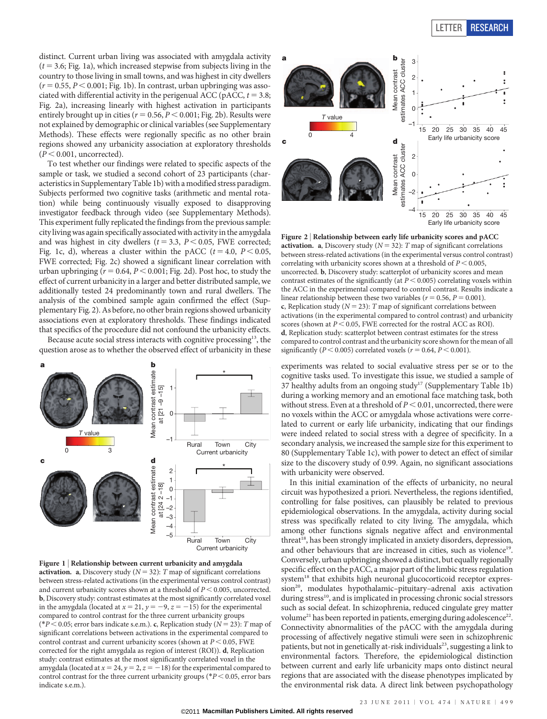distinct. Current urban living was associated with amygdala activity  $(t = 3.6;$  Fig. 1a), which increased stepwise from subjects living in the country to those living in small towns, and was highest in city dwellers  $(r = 0.55, P < 0.001$ ; Fig. 1b). In contrast, urban upbringing was associated with differential activity in the perigenual ACC (pACC,  $t = 3.8$ ; Fig. 2a), increasing linearly with highest activation in participants entirely brought up in cities ( $r = 0.56$ ,  $P < 0.001$ ; Fig. 2b). Results were not explained by demographic or clinical variables (see Supplementary Methods). These effects were regionally specific as no other brain regions showed any urbanicity association at exploratory thresholds  $(P < 0.001$ , uncorrected).

To test whether our findings were related to specific aspects of the sample or task, we studied a second cohort of 23 participants (characteristics in Supplementary Table 1b) with a modified stress paradigm. Subjects performed two cognitive tasks (arithmetic and mental rotation) while being continuously visually exposed to disapproving investigator feedback through video (see Supplementary Methods). This experiment fully replicated the findings from the previous sample: city living was again specifically associated with activity in the amygdala and was highest in city dwellers ( $t = 3.3$ ,  $P < 0.05$ , FWE corrected; Fig. 1c, d), whereas a cluster within the pACC ( $t = 4.0$ ,  $P < 0.05$ , FWE corrected; Fig. 2c) showed a significant linear correlation with urban upbringing ( $r = 0.64$ ,  $P < 0.001$ ; Fig. 2d). Post hoc, to study the effect of current urbanicity in a larger and better distributed sample, we additionally tested 24 predominantly town and rural dwellers. The analysis of the combined sample again confirmed the effect (Supplementary Fig. 2). As before, no other brain regions showed urbanicity associations even at exploratory thresholds. These findings indicated that specifics of the procedure did not confound the urbanicity effects.

Because acute social stress interacts with cognitive processing<sup>13</sup>, the question arose as to whether the observed effect of urbanicity in these







Figure 2 <sup>|</sup> Relationship between early life urbanicity scores and pACC activation. a, Discovery study ( $N = 32$ ): T map of significant correlations between stress-related activations (in the experimental versus control contrast) correlating with urbanicity scores shown at a threshold of  $P < 0.005$ , uncorrected. b, Discovery study: scatterplot of urbanicity scores and mean contrast estimates of the significantly (at  $P \le 0.005$ ) correlating voxels within the ACC in the experimental compared to control contrast. Results indicate a linear relationship between these two variables ( $r = 0.56$ ,  $P = 0.001$ ). c, Replication study ( $N = 23$ ): T map of significant correlations between activations (in the experimental compared to control contrast) and urbanicity scores (shown at  $P \le 0.05$ , FWE corrected for the rostral ACC as ROI). d, Replication study: scatterplot between contrast estimates for the stress compared to control contrast and the urbanicity score shown for the mean of all significantly ( $P < 0.005$ ) correlated voxels ( $r = 0.64$ ,  $P < 0.001$ ).

experiments was related to social evaluative stress per se or to the cognitive tasks used. To investigate this issue, we studied a sample of 37 healthy adults from an ongoing study<sup>17</sup> (Supplementary Table 1b) during a working memory and an emotional face matching task, both without stress. Even at a threshold of  $P < 0.01$ , uncorrected, there were no voxels within the ACC or amygdala whose activations were correlated to current or early life urbanicity, indicating that our findings were indeed related to social stress with a degree of specificity. In a secondary analysis, we increased the sample size for this experiment to 80 (Supplementary Table 1c), with power to detect an effect of similar size to the discovery study of 0.99. Again, no significant associations with urbanicity were observed.

In this initial examination of the effects of urbanicity, no neural circuit was hypothesized a priori. Nevertheless, the regions identified, controlling for false positives, can plausibly be related to previous epidemiological observations. In the amygdala, activity during social stress was specifically related to city living. The amygdala, which among other functions signals negative affect and environmental threat<sup>18</sup>, has been strongly implicated in anxiety disorders, depression, and other behaviours that are increased in cities, such as violence<sup>19</sup>. Conversely, urban upbringing showed a distinct, but equally regionally specific effect on the pACC, a major part of the limbic stress regulation system<sup>18</sup> that exhibits high neuronal glucocorticoid receptor expression<sup>20</sup>, modulates hypothalamic-pituitary-adrenal axis activation during stress<sup>10</sup>, and is implicated in processing chronic social stressors such as social defeat. In schizophrenia, reduced cingulate grey matter volume<sup>21</sup> has been reported in patients, emerging during adolescence<sup>22</sup>. Connectivity abnormalities of the pACC with the amygdala during processing of affectively negative stimuli were seen in schizophrenic patients, but not in genetically at-risk individuals<sup>23</sup>, suggesting a link to environmental factors. Therefore, the epidemiological distinction between current and early life urbanicity maps onto distinct neural regions that are associated with the disease phenotypes implicated by the environmental risk data. A direct link between psychopathology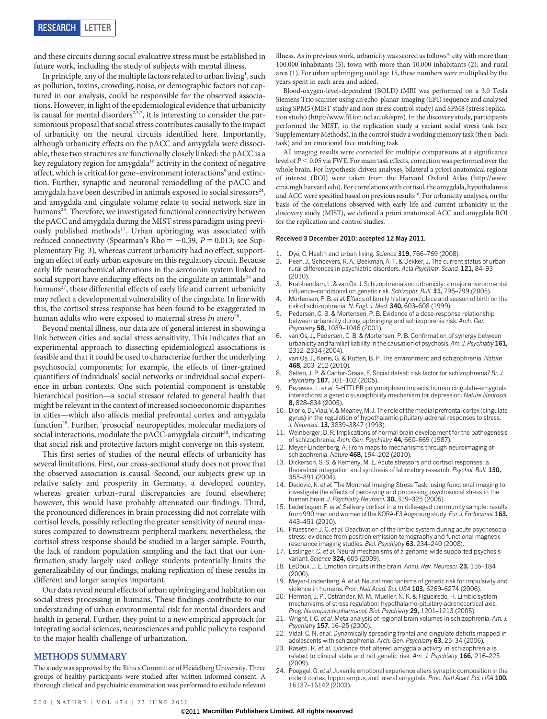and these circuits during social evaluative stress must be established in future work, including the study of subjects with mental illness.

In principle, any of the multiple factors related to urban living<sup>1</sup>, such as pollution, toxins, crowding, noise, or demographic factors not captured in our analysis, could be responsible for the observed associations. However, in light of the epidemiological evidence that urbanicity is causal for mental disorders<sup>2,3,7</sup>, it is interesting to consider the parsimonious proposal that social stress contributes causally to the impact of urbanicity on the neural circuits identified here. Importantly, although urbanicity effects on the pACC and amygdala were dissociable, these two structures are functionally closely linked: the pACC is a key regulatory region for amygdala<sup>18</sup> activity in the context of negative affect, which is critical for gene–environment interactions<sup>9</sup> and extinction. Further, synaptic and neuronal remodelling of the pACC and amygdala have been described in animals exposed to social stressors $24$ , and amygdala and cingulate volume relate to social network size in humans<sup>25</sup>. Therefore, we investigated functional connectivity between the pACC and amygdala during the MIST stress paradigm using previously published methods<sup>17</sup>. Urban upbringing was associated with reduced connectivity (Spearman's Rho =  $-0.39$ ,  $P = 0.013$ ; see Supplementary Fig. 3), whereas current urbanicity had no effect, supporting an effect of early urban exposure on this regulatory circuit. Because early life neurochemical alterations in the serotonin system linked to social support have enduring effects on the cingulate in animals<sup>26</sup> and humans<sup>27</sup>, these differential effects of early life and current urbanicity may reflect a developmental vulnerability of the cingulate. In line with this, the cortisol stress response has been found to be exaggerated in human adults who were exposed to maternal stress in utero<sup>28</sup>.

Beyond mental illness, our data are of general interest in showing a link between cities and social stress sensitivity. This indicates that an experimental approach to dissecting epidemiological associations is feasible and that it could be used to characterize further the underlying psychosocial components; for example, the effects of finer-grained quantifiers of individuals' social networks or individual social experience in urban contexts. One such potential component is unstable hierarchical position—a social stressor related to general health that might be relevant in the context of increased socioeconomic disparities in cities—which also affects medial prefrontal cortex and amygdala function<sup>29</sup>. Further, 'prosocial' neuropeptides, molecular mediators of social interactions, modulate the pACC-amygdala circuit<sup>30</sup>, indicating that social risk and protective factors might converge on this system.

This first series of studies of the neural effects of urbanicity has several limitations. First, our cross-sectional study does not prove that the observed association is causal. Second, our subjects grew up in relative safety and prosperity in Germany, a developed country, whereas greater urban–rural discrepancies are found elsewhere; however, this would have probably attenuated our findings. Third, the pronounced differences in brain processing did not correlate with cortisol levels, possibly reflecting the greater sensitivity of neural measures compared to downstream peripheral markers; nevertheless, the cortisol stress response should be studied in a larger sample. Fourth, the lack of random population sampling and the fact that our confirmation study largely used college students potentially limits the generalizability of our findings, making replication of these results in different and larger samples important.

Our data reveal neural effects of urban upbringing and habitation on social stress processing in humans. These findings contribute to our understanding of urban environmental risk for mental disorders and health in general. Further, they point to a new empirical approach for integrating social sciences, neurosciences and public policy to respond to the major health challenge of urbanization.

## METHODS SUMMARY

The study was approved by the Ethics Committee of Heidelberg University. Three groups of healthy participants were studied after written informed consent. A thorough clinical and psychiatric examination was performed to exclude relevant

illness. As in previous work, urbanicity was scored as follows<sup>4</sup>: city with more than 100,000 inhabitants (3); town with more than 10,000 inhabitants (2); and rural area (1). For urban upbringing until age 15, these numbers were multiplied by the years spent in each area and added.

Blood-oxygen-level-dependent (BOLD) fMRI was performed on a 3.0 Tesla Siemens Trio scanner using an echo-planar-imaging (EPI) sequence and analysed using SPM5 (MIST study and non-stress control study) and SPM8 (stress replication study) [\(http://www.fil.ion.ucl.ac.uk/spm](http://www.fil.ion.ucl.ac.uk/spm)). In the discovery study, participants performed the MIST, in the replication study a variant social stress task (see Supplementary Methods), in the control study a working memory task (the n-back task) and an emotional face matching task.

All imaging results were corrected for multiple comparisons at a significance level of  $P < 0.05$  via FWE. For main task effects, correction was performed over the whole brain. For hypothesis-driven analyses, bilateral a priori anatomical regions of interest (ROI) were taken from the Harvard Oxford Atlas [\(http://www.](http://www.cma.mgh.harvard.edu) [cma.mgh.harvard.edu](http://www.cma.mgh.harvard.edu)). For correlations with cortisol, the amygdala, hypothalamus and ACC were specified based on previous results<sup>16</sup>. For urbanicity analyses, on the basis of the correlations observed with early life and current urbanicity in the discovery study (MIST), we defined a priori anatomical ACC and amygdala ROI for the replication and control studies.

## Received 3 December 2010; accepted 12 May 2011.

- 1. Dye, C. Health and urban living. Science 319, 766–769 (2008).<br>2. Peen, J., Schoevers, R. A., Beekman, A. T. & Dekker, J. The currer
- Peen, J., Schoevers, R. A., Beekman, A. T. & Dekker, J. The current status of urbanrural differences in psychiatric disorders. Acta Psychiatr. Scand. 121, 84–93 (2010).
- 3. Krabbendam, L. & van Os, J. Schizophrenia and urbanicity: a major environmental influence–conditional on genetic risk. Schizophr. Bull. 31, 795–799 (2005).
- 4. Mortensen, P. B. et al. Effects of family history and place and season of birth on the risk of schizophrenia. N. Engl. J. Med. 340, 603–608 (1999).
- 5. Pedersen, C. B. & Mortensen, P. B. Evidence of a dose-response relationship between urbanicity during upbringing and schizophrenia risk. Arch. Gen. Psychiatry 58, 1039-1046 (2001).
- 6. van Os, J., Pedersen, C. B. & Mortensen, P. B. Confirmation of synergy between urbanicity and familial liability in the causation of psychosis. Am. J. Psychiatry 161, 2312–2314 (2004).
- 7. van Os, J., Kenis, G. & Rutten, B. P. The environment and schizophrenia. Nature 468, 203–212 (2010).
- 8. Selten, J. P. & Cantor-Graae, E. Social defeat: risk factor for schizophrenia? Br. J. Psychiatry 187, 101–102 (2005).
- Pezawas, L. et al. 5-HTTLPR polymorphism impacts human cingulate–amygdala interactions: a genetic susceptibility mechanism for depression. Nature Neurosci. 8, 828–834 (2005).
- Diorio, D., Viau, V. & Meaney, M. J. The role of the medial prefrontal cortex (cingulate gyrus) in the regulation of hypothalamic-pituitary-adrenal responses to stress. J. Neurosci. 13, 3839-3847 (1993).
- 11. Weinberger, D. R. Implications of normal brain development for the pathogenesis of schizophrenia. Arch. Gen. Psychiatry 44, 660-669 (1987).
- 12. Meyer-Lindenberg, A. From maps to mechanisms through neuroimaging of schizophrenia. Nature 468, 194–202 (2010).
- 13. Dickerson, S. S. & Kemeny, M. E. Acute stressors and cortisol responses: a theoretical integration and synthesis of laboratory research. Psychol. Bull. 130, 355–391 (2004).
- 14. Dedovic, K. et al. The Montreal Imaging Stress Task: using functional imaging to investigate the effects of perceiving and processing psychosocial stress in the human brain. J. Psychiatry Neurosci. 30, 319-325 (2005).
- 15. Lederbogen, F. et al. Salivary cortisol in a middle-aged community sample: results from 990 men and women of the KORA-F3 Augsburg study. Eur. J. Endocrinol. 163, 443–451 (2010).
- 16. Pruessner, J. C. et al. Deactivation of the limbic system during acute psychosocial stress: evidence from positron emission tomography and functional magnetic resonance imaging studies. Biol. Psychiatry 63, 234–240 (2008).
- 17. Esslinger, C. et al. Neural mechanisms of a genome-wide supported psychosis variant. Science 324, 605 (2009).
- 18. LeDoux, J. E. Emotion circuits in the brain. Annu. Rev. Neurosci. 23, 155–184 (2000).
- 19. Meyer-Lindenberg, A. et al. Neural mechanisms of genetic risk for impulsivity and violence in humans. Proc. Natl Acad. Sci. USA 103, 6269–6274 (2006).
- 20. Herman, J. P., Ostrander, M. M., Mueller, N. K. & Figueiredo, H. Limbic system mechanisms of stress regulation: hypothalamo-pituitary-adrenocortical axis. Prog. Neuropsychopharmacol. Biol. Psychiatry 29, 1201-1213 (2005).
- 21. Wright, I. C. et al. Meta-analysis of regional brain volumes in schizophrenia. Am. J. Psychiatry 157, 16-25 (2000).
- 22. Vidal, C. N. et al. Dynamically spreading frontal and cingulate deficits mapped in adolescents with schizophrenia. Arch. Gen. Psychiatry 63, 25-34 (2006).
- 23. Rasetti, R. et al. Evidence that altered amygdala activity in schizophrenia is related to clinical state and not genetic risk. Am. J. Psychiatry 166, 216-225 (2009).
- 24. Poeggel, G. et al. Juvenile emotional experience alters synaptic composition in the rodent cortex, hippocampus, and lateral amygdala. Proc. Natl Acad. Sci. USA 100, 16137–16142 (2003).